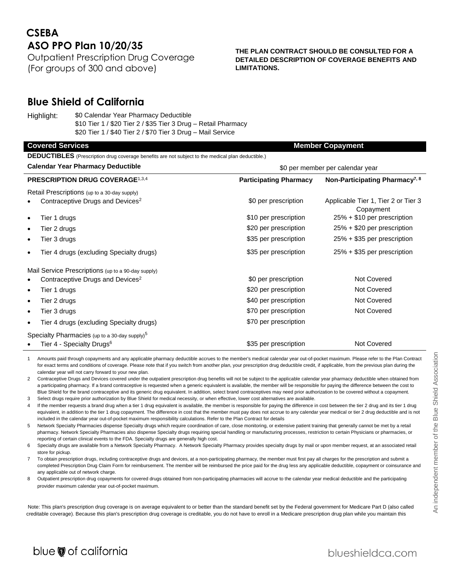# **CSEBA ASO PPO Plan 10/20/35**

Outpatient Prescription Drug Coverage (For groups of 300 and above)

### **THE PLAN CONTRACT SHOULD BE CONSULTED FOR A DETAILED DESCRIPTION OF COVERAGE BENEFITS AND LIMITATIONS.**

## **Blue Shield of California**

Highlight: \$0 Calendar Year Pharmacy Deductible \$10 Tier 1 / \$20 Tier 2 / \$35 Tier 3 Drug – Retail Pharmacy \$20 Tier 1 / \$40 Tier 2 / \$70 Tier 3 Drug – Mail Service

#### **Covered Services Member Copayment Member Copayment**

**DEDUCTIBLES** (Prescription drug coverage benefits are not subject to the medical plan deductible.)

| <b>Calendar Year Pharmacy Deductible</b>     |                                                           | \$0 per member per calendar year |                                                  |
|----------------------------------------------|-----------------------------------------------------------|----------------------------------|--------------------------------------------------|
| <b>PRESCRIPTION DRUG COVERAGE1,3,4</b>       |                                                           | <b>Participating Pharmacy</b>    | Non-Participating Pharmacy <sup>7, 8</sup>       |
| Retail Prescriptions (up to a 30-day supply) |                                                           |                                  |                                                  |
|                                              | Contraceptive Drugs and Devices <sup>2</sup>              | \$0 per prescription             | Applicable Tier 1, Tier 2 or Tier 3<br>Copayment |
| $\bullet$                                    | Tier 1 drugs                                              | \$10 per prescription            | 25% + \$10 per prescription                      |
| $\bullet$                                    | Tier 2 drugs                                              | \$20 per prescription            | 25% + \$20 per prescription                      |
| $\bullet$                                    | Tier 3 drugs                                              | \$35 per prescription            | 25% + \$35 per prescription                      |
| $\bullet$                                    | Tier 4 drugs (excluding Specialty drugs)                  | \$35 per prescription            | 25% + \$35 per prescription                      |
|                                              | Mail Service Prescriptions (up to a 90-day supply)        |                                  |                                                  |
|                                              | Contraceptive Drugs and Devices <sup>2</sup>              | \$0 per prescription             | Not Covered                                      |
| $\bullet$                                    | Tier 1 drugs                                              | \$20 per prescription            | Not Covered                                      |
| $\bullet$                                    | Tier 2 drugs                                              | \$40 per prescription            | Not Covered                                      |
| $\bullet$                                    | Tier 3 drugs                                              | \$70 per prescription            | Not Covered                                      |
| $\bullet$                                    | Tier 4 drugs (excluding Specialty drugs)                  | \$70 per prescription            |                                                  |
|                                              | Specialty Pharmacies (up to a 30-day supply) <sup>5</sup> |                                  |                                                  |
|                                              | Tier 4 - Specialty Drugs <sup>6</sup>                     | \$35 per prescription            | Not Covered                                      |

- 1 Amounts paid through copayments and any applicable pharmacy deductible accrues to the member's medical calendar year out-of-pocket maximum. Please refer to the Plan Contract for exact terms and conditions of coverage. Please note that if you switch from another plan, your prescription drug deductible credit, if applicable, from the previous plan during the calendar year will not carry forward to your new plan.
- 2 Contraceptive Drugs and Devices covered under the outpatient prescription drug benefits will not be subject to the applicable calendar year pharmacy deductible when obtained from a participating pharmacy. If a brand contraceptive is requested when a generic equivalent is available, the member will be responsible for paying the difference between the cost to Blue Shield for the brand contraceptive and its generic drug equivalent. In addition, select brand contraceptives may need prior authorization to be covered without a copayment.
- 3 Select drugs require prior authorization by Blue Shield for medical necessity, or when effective, lower cost alternatives are available.
- 4 If the member requests a brand drug when a tier 1 drug equivalent is available, the member is responsible for paying the difference in cost between the tier 2 drug and its tier 1 drug equivalent, in addition to the tier 1 drug copayment. The difference in cost that the member must pay does not accrue to any calendar year medical or tier 2 drug deductible and is not included in the calendar year out-of-pocket maximum responsibility calculations. Refer to the Plan Contract for details
- Network Specialty Pharmacies dispense Specialty drugs which require coordination of care, close monitoring, or extensive patient training that generally cannot be met by a retail pharmacy. Network Specialty Pharmacies also dispense Specialty drugs requiring special handling or manufacturing processes, restriction to certain Physicians or pharmacies, or reporting of certain clinical events to the FDA. Specialty drugs are generally high cost.
- 6 Specialty drugs are available from a Network Specialty Pharmacy. A Network Specialty Pharmacy provides specialty drugs by mail or upon member request, at an associated retail store for pickup.
- To obtain prescription drugs, including contraceptive drugs and devices, at a non-participating pharmacy, the member must first pay all charges for the prescription and submit a completed Prescription Drug Claim Form for reimbursement. The member will be reimbursed the price paid for the drug less any applicable deductible, copayment or coinsurance and any applicable out of network charge.
- 8 Outpatient prescription drug copayments for covered drugs obtained from non-participating pharmacies will accrue to the calendar year medical deductible and the participating provider maximum calendar year out-of-pocket maximum.

Note: This plan's prescription drug coverage is on average equivalent to or better than the standard benefit set by the Federal government for Medicare Part D (also called creditable coverage). Because this plan's prescription drug coverage is creditable, you do not have to enroll in a Medicare prescription drug plan while you maintain this

# blue @ of california